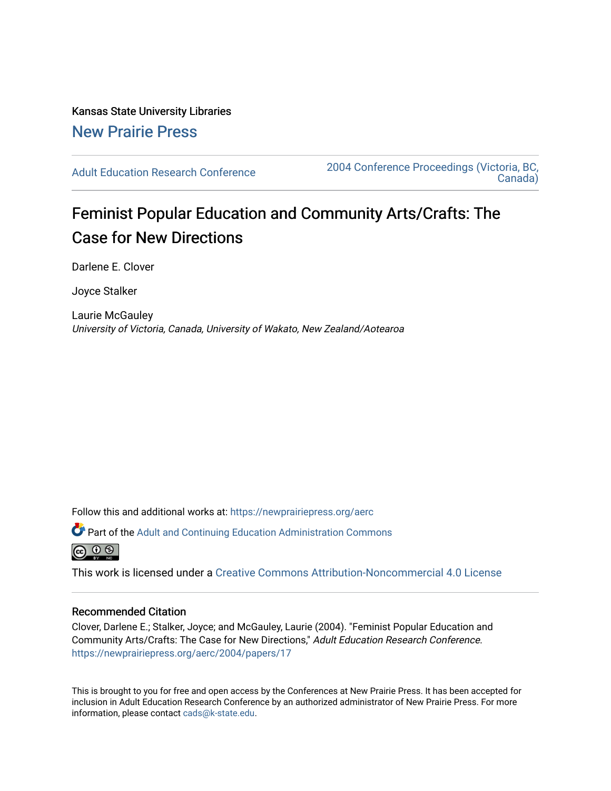## Kansas State University Libraries [New Prairie Press](https://newprairiepress.org/)

[Adult Education Research Conference](https://newprairiepress.org/aerc) [2004 Conference Proceedings \(Victoria, BC,](https://newprairiepress.org/aerc/2004)  [Canada\)](https://newprairiepress.org/aerc/2004) 

# Feminist Popular Education and Community Arts/Crafts: The Case for New Directions

Darlene E. Clover

Joyce Stalker

Laurie McGauley University of Victoria, Canada, University of Wakato, New Zealand/Aotearoa

Follow this and additional works at: [https://newprairiepress.org/aerc](https://newprairiepress.org/aerc?utm_source=newprairiepress.org%2Faerc%2F2004%2Fpapers%2F17&utm_medium=PDF&utm_campaign=PDFCoverPages)

Part of the [Adult and Continuing Education Administration Commons](http://network.bepress.com/hgg/discipline/789?utm_source=newprairiepress.org%2Faerc%2F2004%2Fpapers%2F17&utm_medium=PDF&utm_campaign=PDFCoverPages)

ര  $\odot$   $\odot$ 

This work is licensed under a [Creative Commons Attribution-Noncommercial 4.0 License](https://creativecommons.org/licenses/by-nc/4.0/)

#### Recommended Citation

Clover, Darlene E.; Stalker, Joyce; and McGauley, Laurie (2004). "Feminist Popular Education and Community Arts/Crafts: The Case for New Directions," Adult Education Research Conference. <https://newprairiepress.org/aerc/2004/papers/17>

This is brought to you for free and open access by the Conferences at New Prairie Press. It has been accepted for inclusion in Adult Education Research Conference by an authorized administrator of New Prairie Press. For more information, please contact [cads@k-state.edu](mailto:cads@k-state.edu).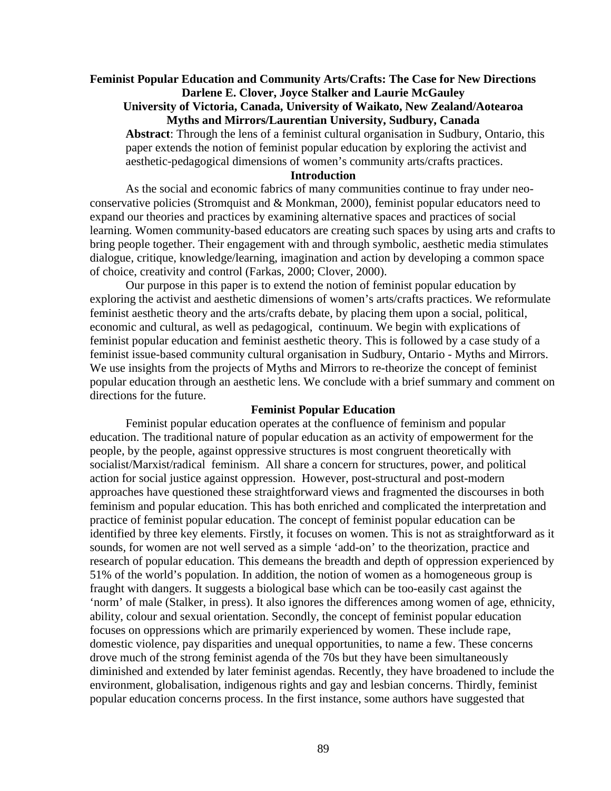## **Feminist Popular Education and Community Arts/Crafts: The Case for New Directions Darlene E. Clover, Joyce Stalker and Laurie McGauley**

#### **University of Victoria, Canada, University of Waikato, New Zealand/Aotearoa Myths and Mirrors/Laurentian University, Sudbury, Canada**

**Abstract**: Through the lens of a feminist cultural organisation in Sudbury, Ontario, this paper extends the notion of feminist popular education by exploring the activist and aesthetic-pedagogical dimensions of women's community arts/crafts practices.

## **Introduction**

As the social and economic fabrics of many communities continue to fray under neoconservative policies (Stromquist and & Monkman, 2000), feminist popular educators need to expand our theories and practices by examining alternative spaces and practices of social learning. Women community-based educators are creating such spaces by using arts and crafts to bring people together. Their engagement with and through symbolic, aesthetic media stimulates dialogue, critique, knowledge/learning, imagination and action by developing a common space of choice, creativity and control (Farkas, 2000; Clover, 2000).

Our purpose in this paper is to extend the notion of feminist popular education by exploring the activist and aesthetic dimensions of women's arts/crafts practices. We reformulate feminist aesthetic theory and the arts/crafts debate, by placing them upon a social, political, economic and cultural, as well as pedagogical, continuum. We begin with explications of feminist popular education and feminist aesthetic theory. This is followed by a case study of a feminist issue-based community cultural organisation in Sudbury, Ontario - Myths and Mirrors. We use insights from the projects of Myths and Mirrors to re-theorize the concept of feminist popular education through an aesthetic lens. We conclude with a brief summary and comment on directions for the future.

#### **Feminist Popular Education**

Feminist popular education operates at the confluence of feminism and popular education. The traditional nature of popular education as an activity of empowerment for the people, by the people, against oppressive structures is most congruent theoretically with socialist/Marxist/radical feminism. All share a concern for structures, power, and political action for social justice against oppression. However, post-structural and post-modern approaches have questioned these straightforward views and fragmented the discourses in both feminism and popular education. This has both enriched and complicated the interpretation and practice of feminist popular education. The concept of feminist popular education can be identified by three key elements. Firstly, it focuses on women. This is not as straightforward as it sounds, for women are not well served as a simple 'add-on' to the theorization, practice and research of popular education. This demeans the breadth and depth of oppression experienced by 51% of the world's population. In addition, the notion of women as a homogeneous group is fraught with dangers. It suggests a biological base which can be too-easily cast against the 'norm' of male (Stalker, in press). It also ignores the differences among women of age, ethnicity, ability, colour and sexual orientation. Secondly, the concept of feminist popular education focuses on oppressions which are primarily experienced by women. These include rape, domestic violence, pay disparities and unequal opportunities, to name a few. These concerns drove much of the strong feminist agenda of the 70s but they have been simultaneously diminished and extended by later feminist agendas. Recently, they have broadened to include the environment, globalisation, indigenous rights and gay and lesbian concerns. Thirdly, feminist popular education concerns process. In the first instance, some authors have suggested that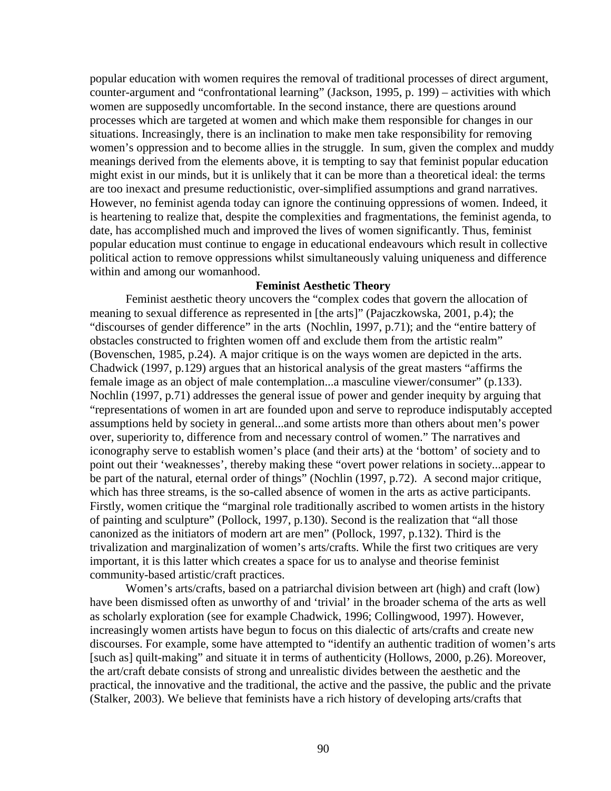popular education with women requires the removal of traditional processes of direct argument, counter-argument and "confrontational learning" (Jackson, 1995, p. 199) – activities with which women are supposedly uncomfortable. In the second instance, there are questions around processes which are targeted at women and which make them responsible for changes in our situations. Increasingly, there is an inclination to make men take responsibility for removing women's oppression and to become allies in the struggle. In sum, given the complex and muddy meanings derived from the elements above, it is tempting to say that feminist popular education might exist in our minds, but it is unlikely that it can be more than a theoretical ideal: the terms are too inexact and presume reductionistic, over-simplified assumptions and grand narratives. However, no feminist agenda today can ignore the continuing oppressions of women. Indeed, it is heartening to realize that, despite the complexities and fragmentations, the feminist agenda, to date, has accomplished much and improved the lives of women significantly. Thus, feminist popular education must continue to engage in educational endeavours which result in collective political action to remove oppressions whilst simultaneously valuing uniqueness and difference within and among our womanhood.

#### **Feminist Aesthetic Theory**

Feminist aesthetic theory uncovers the "complex codes that govern the allocation of meaning to sexual difference as represented in [the arts]" (Pajaczkowska, 2001, p.4); the "discourses of gender difference" in the arts (Nochlin, 1997, p.71); and the "entire battery of obstacles constructed to frighten women off and exclude them from the artistic realm" (Bovenschen, 1985, p.24). A major critique is on the ways women are depicted in the arts. Chadwick (1997, p.129) argues that an historical analysis of the great masters "affirms the female image as an object of male contemplation...a masculine viewer/consumer" (p.133). Nochlin (1997, p.71) addresses the general issue of power and gender inequity by arguing that "representations of women in art are founded upon and serve to reproduce indisputably accepted assumptions held by society in general...and some artists more than others about men's power over, superiority to, difference from and necessary control of women." The narratives and iconography serve to establish women's place (and their arts) at the 'bottom' of society and to point out their 'weaknesses', thereby making these "overt power relations in society...appear to be part of the natural, eternal order of things" (Nochlin (1997, p.72). A second major critique, which has three streams, is the so-called absence of women in the arts as active participants. Firstly, women critique the "marginal role traditionally ascribed to women artists in the history of painting and sculpture" (Pollock, 1997, p.130). Second is the realization that "all those canonized as the initiators of modern art are men" (Pollock, 1997, p.132). Third is the trivalization and marginalization of women's arts/crafts. While the first two critiques are very important, it is this latter which creates a space for us to analyse and theorise feminist community-based artistic/craft practices.

Women's arts/crafts, based on a patriarchal division between art (high) and craft (low) have been dismissed often as unworthy of and 'trivial' in the broader schema of the arts as well as scholarly exploration (see for example Chadwick, 1996; Collingwood, 1997). However, increasingly women artists have begun to focus on this dialectic of arts/crafts and create new discourses. For example, some have attempted to "identify an authentic tradition of women's arts [such as] quilt-making" and situate it in terms of authenticity (Hollows, 2000, p.26). Moreover, the art/craft debate consists of strong and unrealistic divides between the aesthetic and the practical, the innovative and the traditional, the active and the passive, the public and the private (Stalker, 2003). We believe that feminists have a rich history of developing arts/crafts that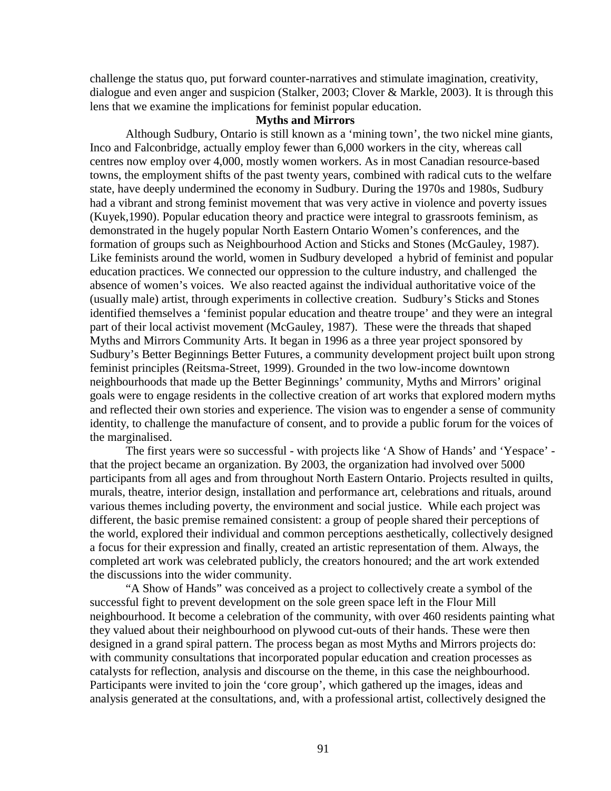challenge the status quo, put forward counter-narratives and stimulate imagination, creativity, dialogue and even anger and suspicion (Stalker, 2003; Clover & Markle, 2003). It is through this lens that we examine the implications for feminist popular education.

#### **Myths and Mirrors**

Although Sudbury, Ontario is still known as a 'mining town', the two nickel mine giants, Inco and Falconbridge, actually employ fewer than 6,000 workers in the city, whereas call centres now employ over 4,000, mostly women workers. As in most Canadian resource-based towns, the employment shifts of the past twenty years, combined with radical cuts to the welfare state, have deeply undermined the economy in Sudbury. During the 1970s and 1980s, Sudbury had a vibrant and strong feminist movement that was very active in violence and poverty issues (Kuyek,1990). Popular education theory and practice were integral to grassroots feminism, as demonstrated in the hugely popular North Eastern Ontario Women's conferences, and the formation of groups such as Neighbourhood Action and Sticks and Stones (McGauley, 1987). Like feminists around the world, women in Sudbury developed a hybrid of feminist and popular education practices. We connected our oppression to the culture industry, and challenged the absence of women's voices. We also reacted against the individual authoritative voice of the (usually male) artist, through experiments in collective creation. Sudbury's Sticks and Stones identified themselves a 'feminist popular education and theatre troupe' and they were an integral part of their local activist movement (McGauley, 1987). These were the threads that shaped Myths and Mirrors Community Arts. It began in 1996 as a three year project sponsored by Sudbury's Better Beginnings Better Futures, a community development project built upon strong feminist principles (Reitsma-Street, 1999). Grounded in the two low-income downtown neighbourhoods that made up the Better Beginnings' community, Myths and Mirrors' original goals were to engage residents in the collective creation of art works that explored modern myths and reflected their own stories and experience. The vision was to engender a sense of community identity, to challenge the manufacture of consent, and to provide a public forum for the voices of the marginalised.

The first years were so successful - with projects like 'A Show of Hands' and 'Yespace' that the project became an organization. By 2003, the organization had involved over 5000 participants from all ages and from throughout North Eastern Ontario. Projects resulted in quilts, murals, theatre, interior design, installation and performance art, celebrations and rituals, around various themes including poverty, the environment and social justice. While each project was different, the basic premise remained consistent: a group of people shared their perceptions of the world, explored their individual and common perceptions aesthetically, collectively designed a focus for their expression and finally, created an artistic representation of them. Always, the completed art work was celebrated publicly, the creators honoured; and the art work extended the discussions into the wider community.

"A Show of Hands" was conceived as a project to collectively create a symbol of the successful fight to prevent development on the sole green space left in the Flour Mill neighbourhood. It become a celebration of the community, with over 460 residents painting what they valued about their neighbourhood on plywood cut-outs of their hands. These were then designed in a grand spiral pattern. The process began as most Myths and Mirrors projects do: with community consultations that incorporated popular education and creation processes as catalysts for reflection, analysis and discourse on the theme, in this case the neighbourhood. Participants were invited to join the 'core group', which gathered up the images, ideas and analysis generated at the consultations, and, with a professional artist, collectively designed the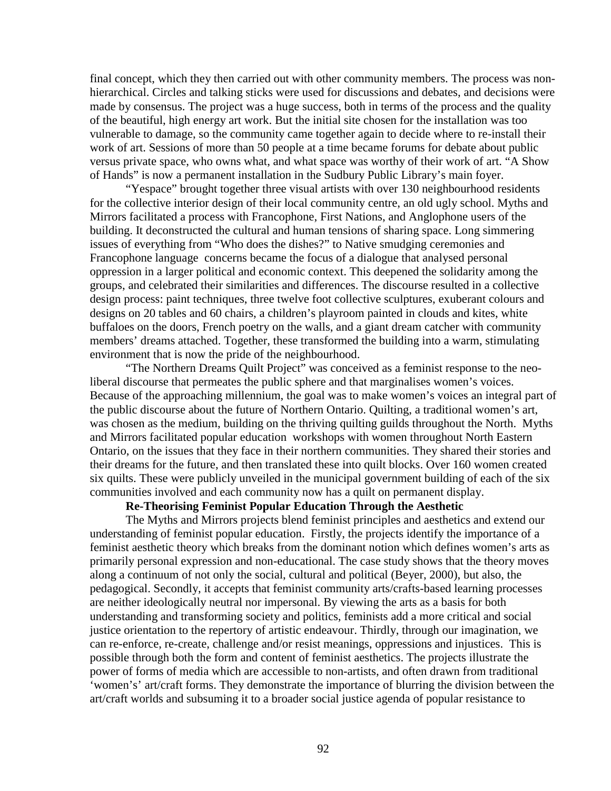final concept, which they then carried out with other community members. The process was nonhierarchical. Circles and talking sticks were used for discussions and debates, and decisions were made by consensus. The project was a huge success, both in terms of the process and the quality of the beautiful, high energy art work. But the initial site chosen for the installation was too vulnerable to damage, so the community came together again to decide where to re-install their work of art. Sessions of more than 50 people at a time became forums for debate about public versus private space, who owns what, and what space was worthy of their work of art. "A Show of Hands" is now a permanent installation in the Sudbury Public Library's main foyer.

"Yespace" brought together three visual artists with over 130 neighbourhood residents for the collective interior design of their local community centre, an old ugly school. Myths and Mirrors facilitated a process with Francophone, First Nations, and Anglophone users of the building. It deconstructed the cultural and human tensions of sharing space. Long simmering issues of everything from "Who does the dishes?" to Native smudging ceremonies and Francophone language concerns became the focus of a dialogue that analysed personal oppression in a larger political and economic context. This deepened the solidarity among the groups, and celebrated their similarities and differences. The discourse resulted in a collective design process: paint techniques, three twelve foot collective sculptures, exuberant colours and designs on 20 tables and 60 chairs, a children's playroom painted in clouds and kites, white buffaloes on the doors, French poetry on the walls, and a giant dream catcher with community members' dreams attached. Together, these transformed the building into a warm, stimulating environment that is now the pride of the neighbourhood.

"The Northern Dreams Quilt Project" was conceived as a feminist response to the neoliberal discourse that permeates the public sphere and that marginalises women's voices. Because of the approaching millennium, the goal was to make women's voices an integral part of the public discourse about the future of Northern Ontario. Quilting, a traditional women's art, was chosen as the medium, building on the thriving quilting guilds throughout the North. Myths and Mirrors facilitated popular education workshops with women throughout North Eastern Ontario, on the issues that they face in their northern communities. They shared their stories and their dreams for the future, and then translated these into quilt blocks. Over 160 women created six quilts. These were publicly unveiled in the municipal government building of each of the six communities involved and each community now has a quilt on permanent display.

## **Re-Theorising Feminist Popular Education Through the Aesthetic**

The Myths and Mirrors projects blend feminist principles and aesthetics and extend our understanding of feminist popular education. Firstly, the projects identify the importance of a feminist aesthetic theory which breaks from the dominant notion which defines women's arts as primarily personal expression and non-educational. The case study shows that the theory moves along a continuum of not only the social, cultural and political (Beyer, 2000), but also, the pedagogical. Secondly, it accepts that feminist community arts/crafts-based learning processes are neither ideologically neutral nor impersonal. By viewing the arts as a basis for both understanding and transforming society and politics, feminists add a more critical and social justice orientation to the repertory of artistic endeavour. Thirdly, through our imagination, we can re-enforce, re-create, challenge and/or resist meanings, oppressions and injustices. This is possible through both the form and content of feminist aesthetics. The projects illustrate the power of forms of media which are accessible to non-artists, and often drawn from traditional 'women's' art/craft forms. They demonstrate the importance of blurring the division between the art/craft worlds and subsuming it to a broader social justice agenda of popular resistance to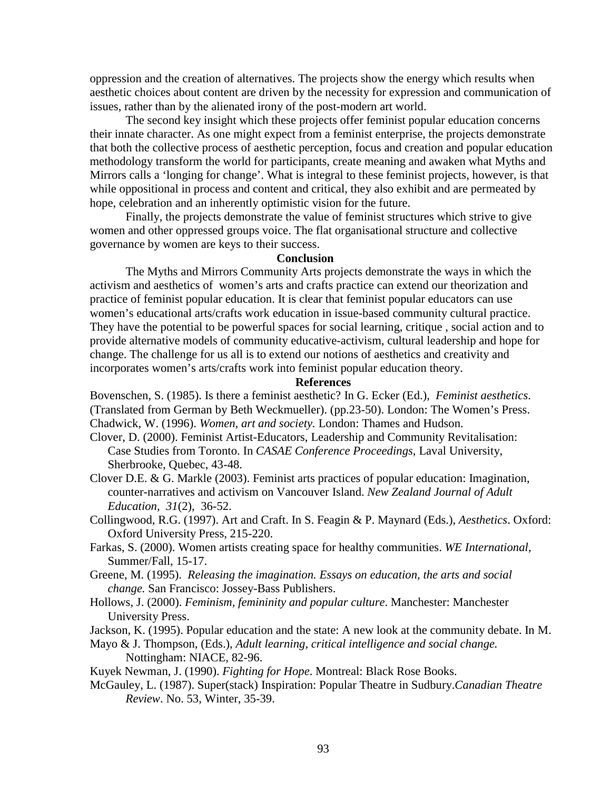oppression and the creation of alternatives. The projects show the energy which results when aesthetic choices about content are driven by the necessity for expression and communication of issues, rather than by the alienated irony of the post-modern art world.

The second key insight which these projects offer feminist popular education concerns their innate character. As one might expect from a feminist enterprise, the projects demonstrate that both the collective process of aesthetic perception, focus and creation and popular education methodology transform the world for participants, create meaning and awaken what Myths and Mirrors calls a 'longing for change'. What is integral to these feminist projects, however, is that while oppositional in process and content and critical, they also exhibit and are permeated by hope, celebration and an inherently optimistic vision for the future.

Finally, the projects demonstrate the value of feminist structures which strive to give women and other oppressed groups voice. The flat organisational structure and collective governance by women are keys to their success.

#### **Conclusion**

The Myths and Mirrors Community Arts projects demonstrate the ways in which the activism and aesthetics of women's arts and crafts practice can extend our theorization and practice of feminist popular education. It is clear that feminist popular educators can use women's educational arts/crafts work education in issue-based community cultural practice. They have the potential to be powerful spaces for social learning, critique , social action and to provide alternative models of community educative-activism, cultural leadership and hope for change. The challenge for us all is to extend our notions of aesthetics and creativity and incorporates women's arts/crafts work into feminist popular education theory.

## **References**

Bovenschen, S. (1985). Is there a feminist aesthetic? In G. Ecker (Ed.), *Feminist aesthetics*. (Translated from German by Beth Weckmueller). (pp.23-50). London: The Women's Press. Chadwick, W. (1996). *Women, art and society.* London: Thames and Hudson.

- Clover, D. (2000). Feminist Artist-Educators, Leadership and Community Revitalisation: Case Studies from Toronto. In *CASAE Conference Proceedings*, Laval University, Sherbrooke, Quebec, 43-48.
- Clover D.E. & G. Markle (2003). Feminist arts practices of popular education: Imagination, counter-narratives and activism on Vancouver Island. *New Zealand Journal of Adult Education, 31*(2), 36-52.
- Collingwood, R.G. (1997). Art and Craft. In S. Feagin & P. Maynard (Eds.), *Aesthetics*. Oxford: Oxford University Press, 215-220.
- Farkas, S. (2000). Women artists creating space for healthy communities. *WE International*, Summer/Fall, 15-17.
- Greene, M. (1995). *Releasing the imagination. Essays on education, the arts and social change.* San Francisco: Jossey-Bass Publishers.
- Hollows, J. (2000). *Feminism, femininity and popular culture*. Manchester: Manchester University Press.
- Jackson, K. (1995). Popular education and the state: A new look at the community debate. In M.
- Mayo & J. Thompson, (Eds.), *Adult learning, critical intelligence and social change.* Nottingham: NIACE, 82-96.
- Kuyek Newman, J. (1990). *Fighting for Hope*. Montreal: Black Rose Books.
- McGauley, L. (1987). Super(stack) Inspiration: Popular Theatre in Sudbury.*Canadian Theatre Review*. No. 53, Winter, 35-39.